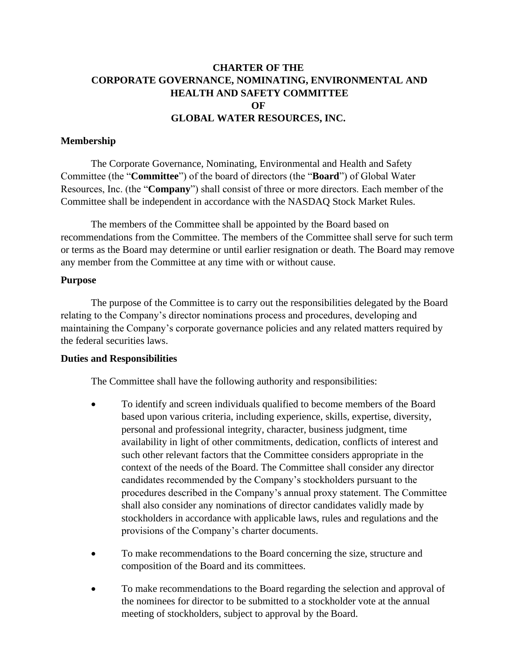# **CHARTER OF THE CORPORATE GOVERNANCE, NOMINATING, ENVIRONMENTAL AND HEALTH AND SAFETY COMMITTEE OF GLOBAL WATER RESOURCES, INC.**

## **Membership**

The Corporate Governance, Nominating, Environmental and Health and Safety Committee (the "**Committee**") of the board of directors (the "**Board**") of Global Water Resources, Inc. (the "**Company**") shall consist of three or more directors. Each member of the Committee shall be independent in accordance with the NASDAQ Stock Market Rules.

The members of the Committee shall be appointed by the Board based on recommendations from the Committee. The members of the Committee shall serve for such term or terms as the Board may determine or until earlier resignation or death. The Board may remove any member from the Committee at any time with or without cause.

### **Purpose**

The purpose of the Committee is to carry out the responsibilities delegated by the Board relating to the Company's director nominations process and procedures, developing and maintaining the Company's corporate governance policies and any related matters required by the federal securities laws.

#### **Duties and Responsibilities**

The Committee shall have the following authority and responsibilities:

- To identify and screen individuals qualified to become members of the Board based upon various criteria, including experience, skills, expertise, diversity, personal and professional integrity, character, business judgment, time availability in light of other commitments, dedication, conflicts of interest and such other relevant factors that the Committee considers appropriate in the context of the needs of the Board. The Committee shall consider any director candidates recommended by the Company's stockholders pursuant to the procedures described in the Company's annual proxy statement. The Committee shall also consider any nominations of director candidates validly made by stockholders in accordance with applicable laws, rules and regulations and the provisions of the Company's charter documents.
- To make recommendations to the Board concerning the size, structure and composition of the Board and its committees.
- To make recommendations to the Board regarding the selection and approval of the nominees for director to be submitted to a stockholder vote at the annual meeting of stockholders, subject to approval by the Board.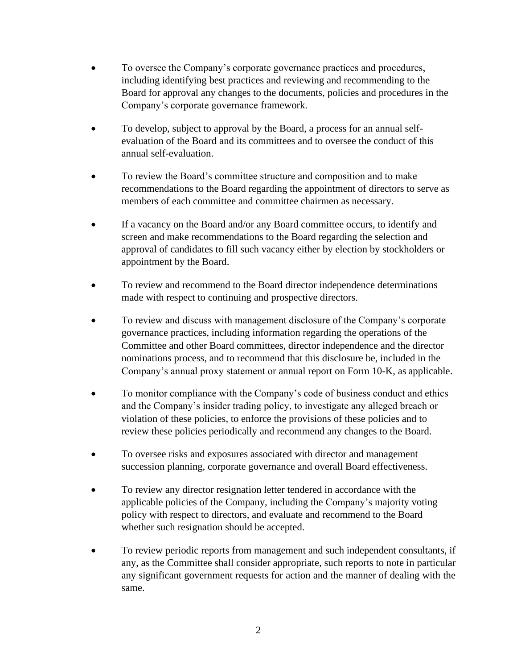- To oversee the Company's corporate governance practices and procedures, including identifying best practices and reviewing and recommending to the Board for approval any changes to the documents, policies and procedures in the Company's corporate governance framework.
- To develop, subject to approval by the Board, a process for an annual selfevaluation of the Board and its committees and to oversee the conduct of this annual self-evaluation.
- To review the Board's committee structure and composition and to make recommendations to the Board regarding the appointment of directors to serve as members of each committee and committee chairmen as necessary.
- If a vacancy on the Board and/or any Board committee occurs, to identify and screen and make recommendations to the Board regarding the selection and approval of candidates to fill such vacancy either by election by stockholders or appointment by the Board.
- To review and recommend to the Board director independence determinations made with respect to continuing and prospective directors.
- To review and discuss with management disclosure of the Company's corporate governance practices, including information regarding the operations of the Committee and other Board committees, director independence and the director nominations process, and to recommend that this disclosure be, included in the Company's annual proxy statement or annual report on Form 10-K, as applicable.
- To monitor compliance with the Company's code of business conduct and ethics and the Company's insider trading policy, to investigate any alleged breach or violation of these policies, to enforce the provisions of these policies and to review these policies periodically and recommend any changes to the Board.
- To oversee risks and exposures associated with director and management succession planning, corporate governance and overall Board effectiveness.
- To review any director resignation letter tendered in accordance with the applicable policies of the Company, including the Company's majority voting policy with respect to directors, and evaluate and recommend to the Board whether such resignation should be accepted.
- To review periodic reports from management and such independent consultants, if any, as the Committee shall consider appropriate, such reports to note in particular any significant government requests for action and the manner of dealing with the same.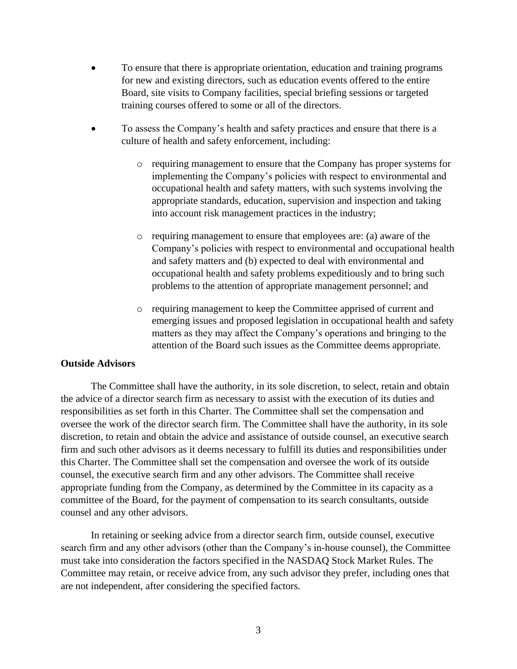- To ensure that there is appropriate orientation, education and training programs for new and existing directors, such as education events offered to the entire Board, site visits to Company facilities, special briefing sessions or targeted training courses offered to some or all of the directors.
- To assess the Company's health and safety practices and ensure that there is a culture of health and safety enforcement, including:
	- o requiring management to ensure that the Company has proper systems for implementing the Company's policies with respect to environmental and occupational health and safety matters, with such systems involving the appropriate standards, education, supervision and inspection and taking into account risk management practices in the industry;
	- o requiring management to ensure that employees are: (a) aware of the Company's policies with respect to environmental and occupational health and safety matters and (b) expected to deal with environmental and occupational health and safety problems expeditiously and to bring such problems to the attention of appropriate management personnel; and
	- o requiring management to keep the Committee apprised of current and emerging issues and proposed legislation in occupational health and safety matters as they may affect the Company's operations and bringing to the attention of the Board such issues as the Committee deems appropriate.

## **Outside Advisors**

The Committee shall have the authority, in its sole discretion, to select, retain and obtain the advice of a director search firm as necessary to assist with the execution of its duties and responsibilities as set forth in this Charter. The Committee shall set the compensation and oversee the work of the director search firm. The Committee shall have the authority, in its sole discretion, to retain and obtain the advice and assistance of outside counsel, an executive search firm and such other advisors as it deems necessary to fulfill its duties and responsibilities under this Charter. The Committee shall set the compensation and oversee the work of its outside counsel, the executive search firm and any other advisors. The Committee shall receive appropriate funding from the Company, as determined by the Committee in its capacity as a committee of the Board, for the payment of compensation to its search consultants, outside counsel and any other advisors.

In retaining or seeking advice from a director search firm, outside counsel, executive search firm and any other advisors (other than the Company's in-house counsel), the Committee must take into consideration the factors specified in the NASDAQ Stock Market Rules. The Committee may retain, or receive advice from, any such advisor they prefer, including ones that are not independent, after considering the specified factors.